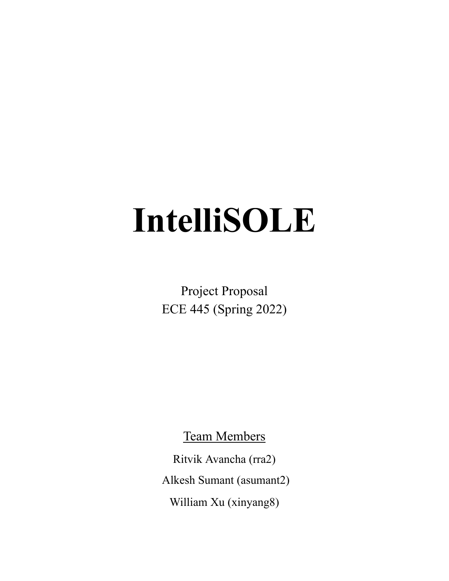# **IntelliSOLE**

Project Proposal ECE 445 (Spring 2022)

Team Members

Ritvik Avancha (rra2) Alkesh Sumant (asumant2) William Xu (xinyang8)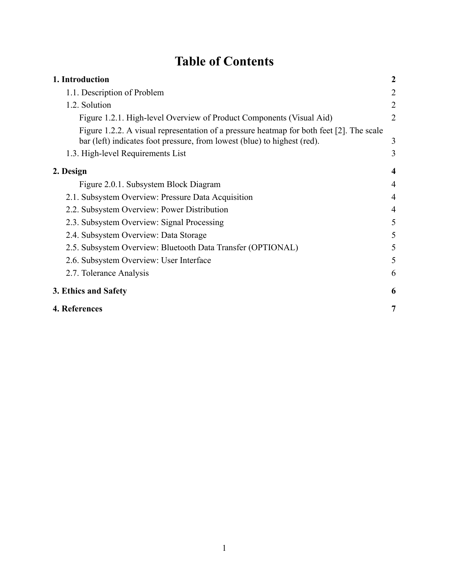# **Table of Contents**

| 1. Introduction                                                                                                                                                      | $\boldsymbol{2}$ |
|----------------------------------------------------------------------------------------------------------------------------------------------------------------------|------------------|
| 1.1. Description of Problem                                                                                                                                          | 2                |
| 1.2. Solution                                                                                                                                                        | $\overline{2}$   |
| Figure 1.2.1. High-level Overview of Product Components (Visual Aid)                                                                                                 | $\overline{2}$   |
| Figure 1.2.2. A visual representation of a pressure heatmap for both feet [2]. The scale<br>bar (left) indicates foot pressure, from lowest (blue) to highest (red). | 3                |
| 1.3. High-level Requirements List                                                                                                                                    | 3                |
| 2. Design                                                                                                                                                            | $\boldsymbol{4}$ |
| Figure 2.0.1. Subsystem Block Diagram                                                                                                                                | $\overline{4}$   |
| 2.1. Subsystem Overview: Pressure Data Acquisition                                                                                                                   | $\overline{4}$   |
| 2.2. Subsystem Overview: Power Distribution                                                                                                                          | 4                |
| 2.3. Subsystem Overview: Signal Processing                                                                                                                           | 5                |
| 2.4. Subsystem Overview: Data Storage                                                                                                                                | 5                |
| 2.5. Subsystem Overview: Bluetooth Data Transfer (OPTIONAL)                                                                                                          | 5                |
| 2.6. Subsystem Overview: User Interface                                                                                                                              | 5                |
| 2.7. Tolerance Analysis                                                                                                                                              | 6                |
| 3. Ethics and Safety                                                                                                                                                 | 6                |
| 4. References                                                                                                                                                        | 7                |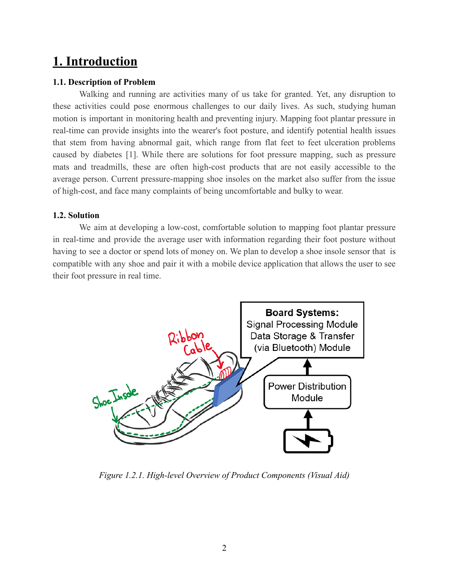# <span id="page-2-0"></span>**1. Introduction**

#### <span id="page-2-1"></span>**1.1. Description of Problem**

Walking and running are activities many of us take for granted. Yet, any disruption to these activities could pose enormous challenges to our daily lives. As such, studying human motion is important in monitoring health and preventing injury. Mapping foot plantar pressure in real-time can provide insights into the wearer's foot posture, and identify potential health issues that stem from having abnormal gait, which range from flat feet to feet ulceration problems caused by diabetes [1]. While there are solutions for foot pressure mapping, such as pressure mats and treadmills, these are often high-cost products that are not easily accessible to the average person. Current pressure-mapping shoe insoles on the market also suffer from the issue of high-cost, and face many complaints of being uncomfortable and bulky to wear.

#### <span id="page-2-2"></span>**1.2. Solution**

We aim at developing a low-cost, comfortable solution to mapping foot plantar pressure in real-time and provide the average user with information regarding their foot posture without having to see a doctor or spend lots of money on. We plan to develop a shoe insole sensor that is compatible with any shoe and pair it with a mobile device application that allows the user to see their foot pressure in real time.



<span id="page-2-3"></span>*Figure 1.2.1. High-level Overview of Product Components (Visual Aid)*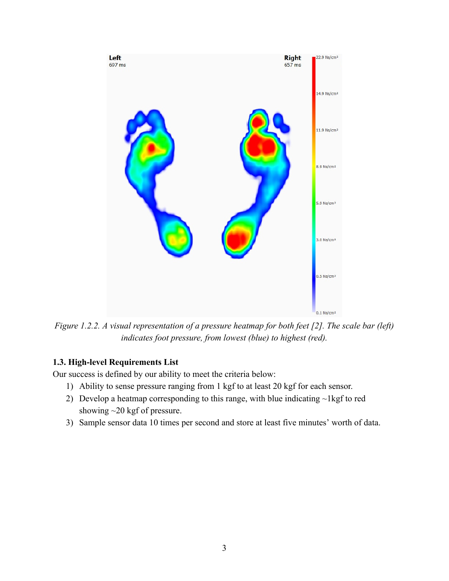

<span id="page-3-0"></span>*Figure 1.2.2. A visual representation of a pressure heatmap for both feet [2]. The scale bar (left) indicates foot pressure, from lowest (blue) to highest (red).*

### <span id="page-3-1"></span>**1.3. High-level Requirements List**

Our success is defined by our ability to meet the criteria below:

- 1) Ability to sense pressure ranging from 1 kgf to at least 20 kgf for each sensor.
- 2) Develop a heatmap corresponding to this range, with blue indicating ~1kgf to red showing ~20 kgf of pressure.
- 3) Sample sensor data 10 times per second and store at least five minutes' worth of data.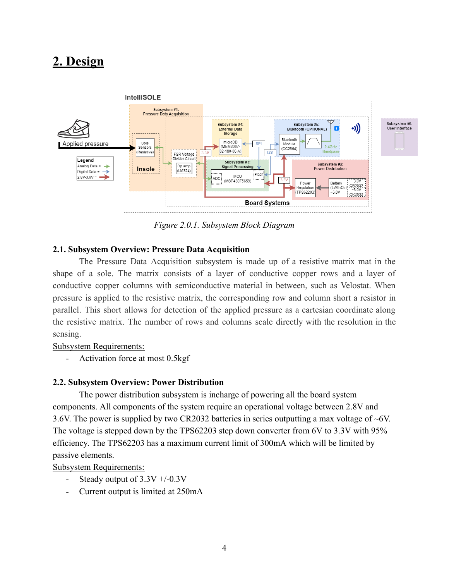# <span id="page-4-0"></span>**2. Design**



*Figure 2.0.1. Subsystem Block Diagram*

#### <span id="page-4-2"></span><span id="page-4-1"></span>**2.1. Subsystem Overview: Pressure Data Acquisition**

The Pressure Data Acquisition subsystem is made up of a resistive matrix mat in the shape of a sole. The matrix consists of a layer of conductive copper rows and a layer of conductive copper columns with semiconductive material in between, such as Velostat. When pressure is applied to the resistive matrix, the corresponding row and column short a resistor in parallel. This short allows for detection of the applied pressure as a cartesian coordinate along the resistive matrix. The number of rows and columns scale directly with the resolution in the sensing.

#### Subsystem Requirements:

- Activation force at most 0.5kgf

#### <span id="page-4-3"></span>**2.2. Subsystem Overview: Power Distribution**

The power distribution subsystem is incharge of powering all the board system components. All components of the system require an operational voltage between 2.8V and 3.6V. The power is supplied by two CR2032 batteries in series outputting a max voltage of ~6V. The voltage is stepped down by the TPS62203 step down converter from 6V to 3.3V with 95% efficiency. The TPS62203 has a maximum current limit of 300mA which will be limited by passive elements.

Subsystem Requirements:

- Steady output of  $3.3V + 0.3V$
- Current output is limited at 250mA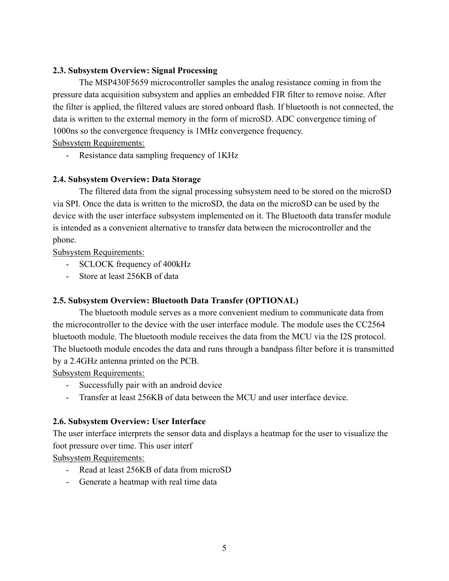## <span id="page-5-0"></span>**2.3. Subsystem Overview: Signal Processing**

The MSP430F5659 microcontroller samples the analog resistance coming in from the pressure data acquisition subsystem and applies an embedded FIR filter to remove noise. After the filter is applied, the filtered values are stored onboard flash. If bluetooth is not connected, the data is written to the external memory in the form of microSD. ADC convergence timing of 1000ns so the convergence frequency is 1MHz convergence frequency.

Subsystem Requirements:

- Resistance data sampling frequency of 1KHz

## <span id="page-5-1"></span>**2.4. Subsystem Overview: Data Storage**

The filtered data from the signal processing subsystem need to be stored on the microSD via SPI. Once the data is written to the microSD, the data on the microSD can be used by the device with the user interface subsystem implemented on it. The Bluetooth data transfer module is intended as a convenient alternative to transfer data between the microcontroller and the phone.

Subsystem Requirements:

- SCLOCK frequency of 400kHz
- Store at least 256KB of data

## <span id="page-5-2"></span>**2.5. Subsystem Overview: Bluetooth Data Transfer (OPTIONAL)**

The bluetooth module serves as a more convenient medium to communicate data from the microcontroller to the device with the user interface module. The module uses the CC2564 bluetooth module. The bluetooth module receives the data from the MCU via the I2S protocol. The bluetooth module encodes the data and runs through a bandpass filter before it is transmitted by a 2.4GHz antenna printed on the PCB.

Subsystem Requirements:

- Successfully pair with an android device
- Transfer at least 256KB of data between the MCU and user interface device.

## <span id="page-5-3"></span>**2.6. Subsystem Overview: User Interface**

The user interface interprets the sensor data and displays a heatmap for the user to visualize the foot pressure over time. This user interf

Subsystem Requirements:

- Read at least 256KB of data from microSD
- Generate a heatmap with real time data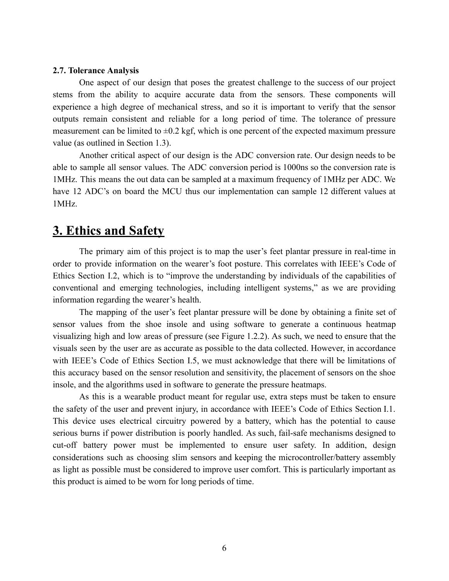#### <span id="page-6-0"></span>**2.7. Tolerance Analysis**

One aspect of our design that poses the greatest challenge to the success of our project stems from the ability to acquire accurate data from the sensors. These components will experience a high degree of mechanical stress, and so it is important to verify that the sensor outputs remain consistent and reliable for a long period of time. The tolerance of pressure measurement can be limited to  $\pm 0.2$  kgf, which is one percent of the expected maximum pressure value (as outlined in Section 1.3).

Another critical aspect of our design is the ADC conversion rate. Our design needs to be able to sample all sensor values. The ADC conversion period is 1000ns so the conversion rate is 1MHz. This means the out data can be sampled at a maximum frequency of 1MHz per ADC. We have 12 ADC's on board the MCU thus our implementation can sample 12 different values at 1MHz.

# <span id="page-6-1"></span>**3. Ethics and Safety**

The primary aim of this project is to map the user's feet plantar pressure in real-time in order to provide information on the wearer's foot posture. This correlates with IEEE's Code of Ethics Section I.2, which is to "improve the understanding by individuals of the capabilities of conventional and emerging technologies, including intelligent systems," as we are providing information regarding the wearer's health.

The mapping of the user's feet plantar pressure will be done by obtaining a finite set of sensor values from the shoe insole and using software to generate a continuous heatmap visualizing high and low areas of pressure (see Figure 1.2.2). As such, we need to ensure that the visuals seen by the user are as accurate as possible to the data collected. However, in accordance with IEEE's Code of Ethics Section I.5, we must acknowledge that there will be limitations of this accuracy based on the sensor resolution and sensitivity, the placement of sensors on the shoe insole, and the algorithms used in software to generate the pressure heatmaps.

As this is a wearable product meant for regular use, extra steps must be taken to ensure the safety of the user and prevent injury, in accordance with IEEE's Code of Ethics Section I.1. This device uses electrical circuitry powered by a battery, which has the potential to cause serious burns if power distribution is poorly handled. As such, fail-safe mechanisms designed to cut-off battery power must be implemented to ensure user safety. In addition, design considerations such as choosing slim sensors and keeping the microcontroller/battery assembly as light as possible must be considered to improve user comfort. This is particularly important as this product is aimed to be worn for long periods of time.